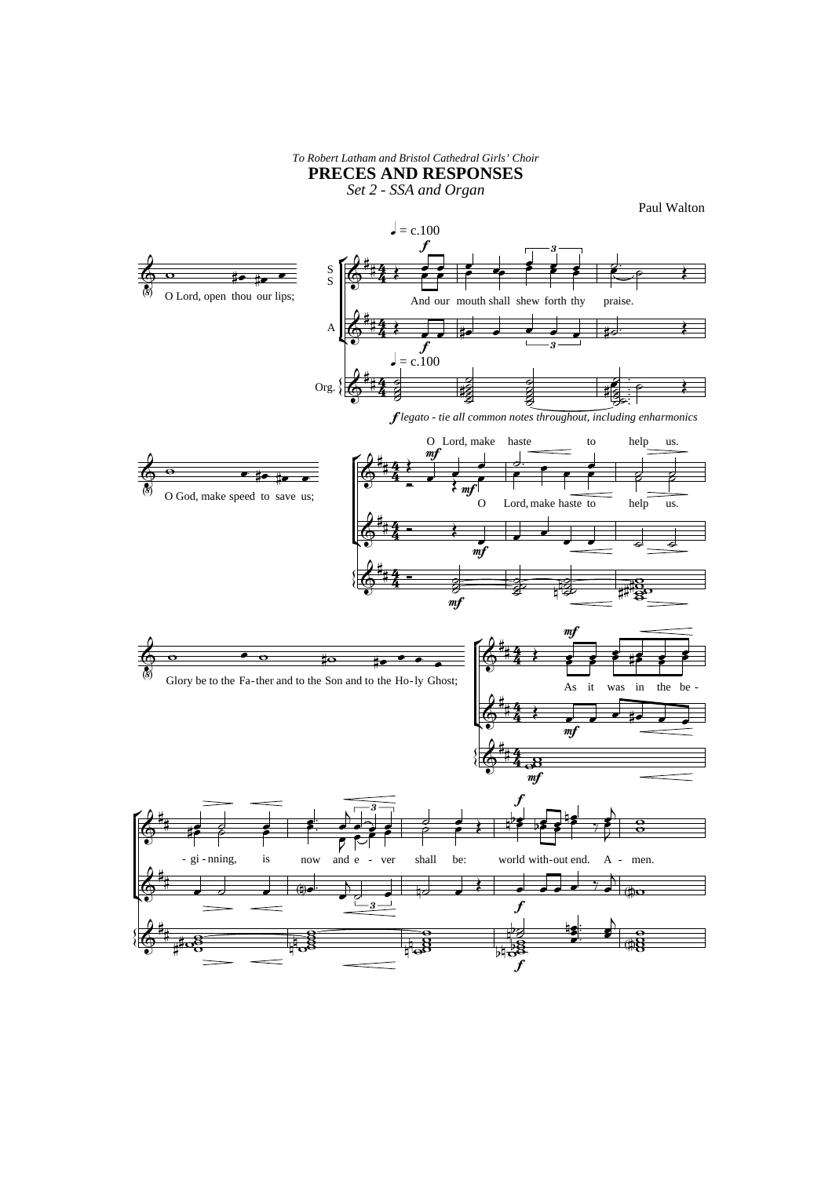## **PRECES AND RESPONSES** *To Robert Latham and Bristol Cathedral Girls' Choir*

*Set 2 - SSA and Organ*

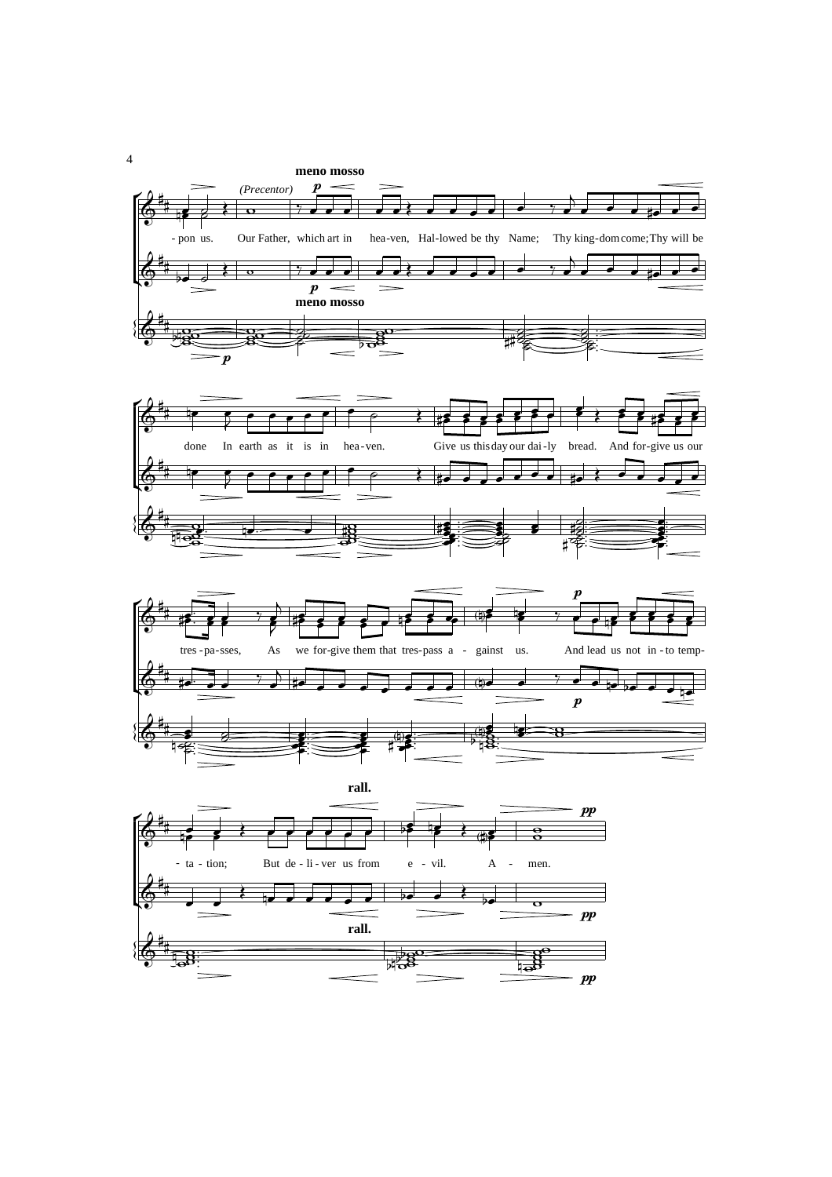







 $\overline{4}$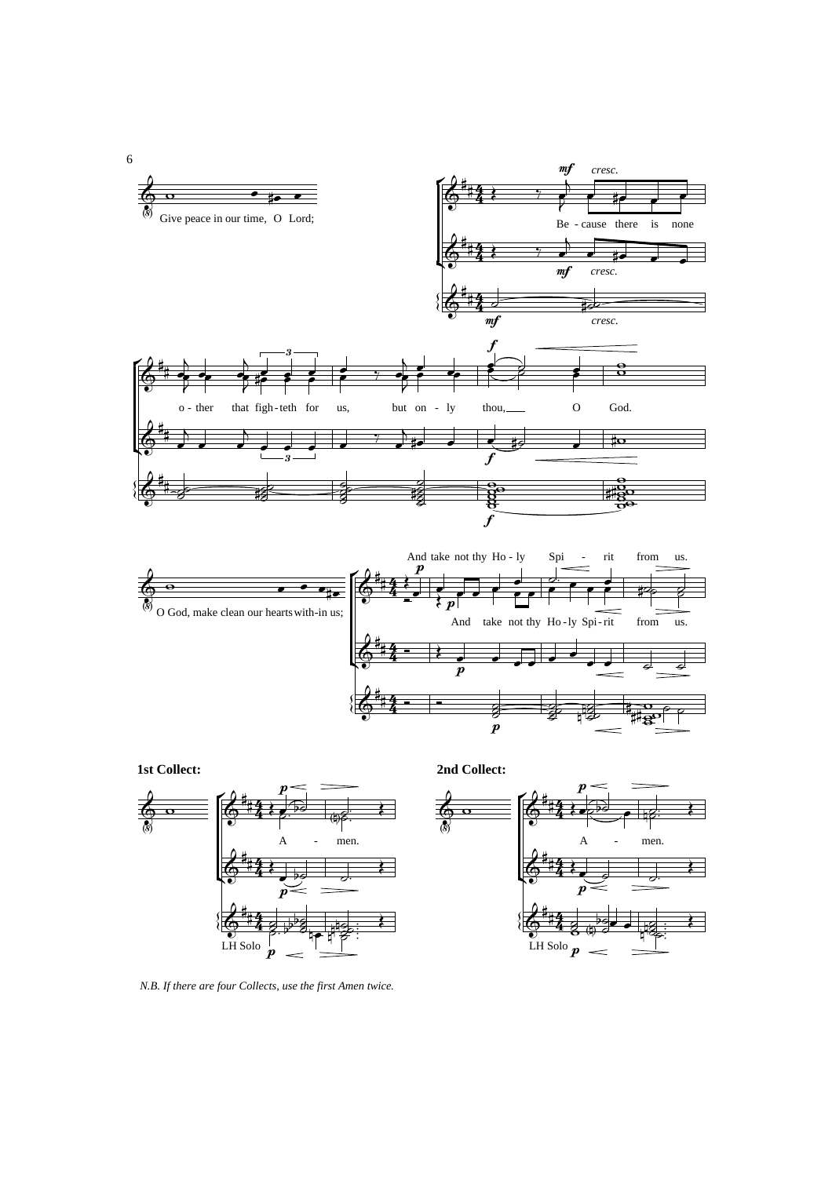





*N.B. If there are four Collects, use the first Amen twice.*